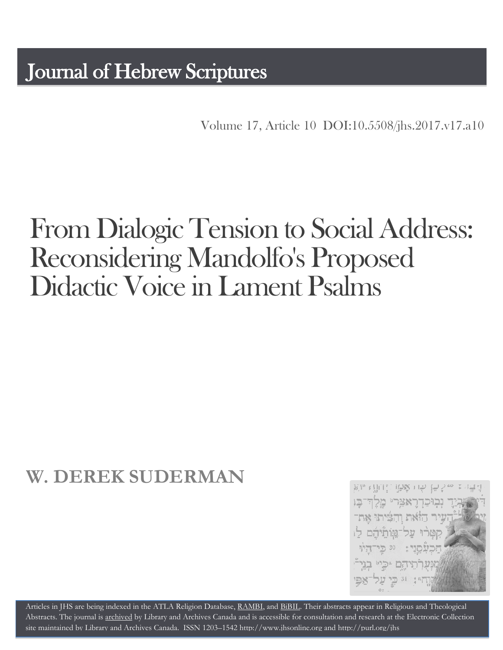Volume 17, Article 10 [DOI:10.5508/jhs.2017.v17.a10](http://dx.doi.org/10.5508/jhs.2017.v17.a10)

# From Dialogic Tension to Social Address: Reconsidering Mandolfo's Proposed Didactic Voice in Lament Psalms

## **W. DEREK SUDERMAN**

Rha Chuin 15% 11% וִבְוּכַדְרֵאצָרִי מֵלְחָ־בָּו ויר האת והפיתו את קטרו על־שותיהם לו 30 כי־דלו יוהם יכיי בני־ 1型家. <sup>וג</sup> בֵי עַל

Articles in JHS are being indexed in the ATLA Religion Database, [RAMBI,](http://jnul.huji.ac.il/rambi/) and [BiBIL.](http://bibil.net/) Their abstracts appear in Religious and Theological Abstracts. The journal is [archived](http://epe.lac-bac.gc.ca/100/201/300/journal_hebrew/index.html) by Library and Archives Canada and is accessible for consultation and research at the Electronic Collection site maintained by [Library and Archives Canada.](http://collectionscanada.ca/electroniccollection/003008-200-e.html) ISSN 1203–154[2 http://www.jhsonline.org](http://www.jhsonline.org/) and<http://purl.org/jhs>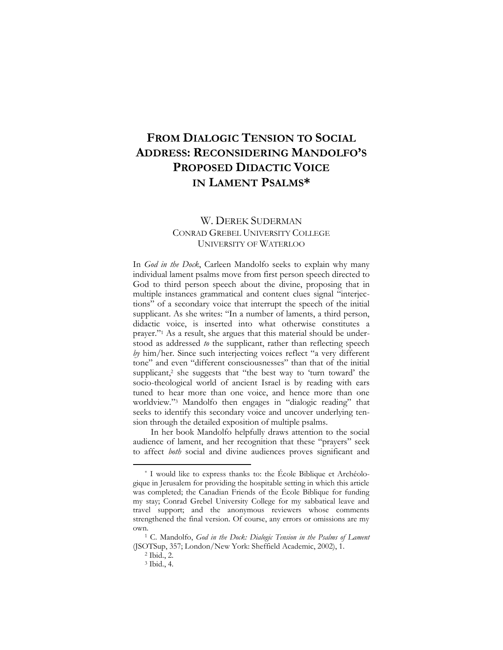### **FROM DIALOGIC TENSION TO SOCIAL ADDRESS: RECONSIDERING MANDOLFO'S PROPOSED DIDACTIC VOICE IN LAMENT PSALMS\***

#### W. DEREK SUDERMAN CONRAD GREBEL UNIVERSITY COLLEGE UNIVERSITY OF WATERLOO

In *God in the Dock*, Carleen Mandolfo seeks to explain why many individual lament psalms move from first person speech directed to God to third person speech about the divine, proposing that in multiple instances grammatical and content clues signal "interjections" of a secondary voice that interrupt the speech of the initial supplicant. As she writes: "In a number of laments, a third person, didactic voice, is inserted into what otherwise constitutes a prayer."<sup>1</sup> As a result, she argues that this material should be understood as addressed *to* the supplicant, rather than reflecting speech *by* him/her. Since such interjecting voices reflect "a very different tone" and even "different consciousnesses" than that of the initial supplicant,<sup>2</sup> she suggests that "the best way to 'turn toward' the socio-theological world of ancient Israel is by reading with ears tuned to hear more than one voice, and hence more than one worldview."<sup>3</sup> Mandolfo then engages in "dialogic reading" that seeks to identify this secondary voice and uncover underlying tension through the detailed exposition of multiple psalms.

In her book Mandolfo helpfully draws attention to the social audience of lament, and her recognition that these "prayers" seek to affect *both* social and divine audiences proves significant and

<sup>\*</sup> I would like to express thanks to: the École Biblique et Archéologique in Jerusalem for providing the hospitable setting in which this article was completed; the Canadian Friends of the École Biblique for funding my stay; Conrad Grebel University College for my sabbatical leave and travel support; and the anonymous reviewers whose comments strengthened the final version. Of course, any errors or omissions are my own.

<sup>1</sup> C. Mandolfo, *God in the Dock: Dialogic Tension in the Psalms of Lament* (JSOTSup, 357; London/New York: Sheffield Academic, 2002), 1.

<sup>2</sup> Ibid., 2.

<sup>3</sup> Ibid., 4.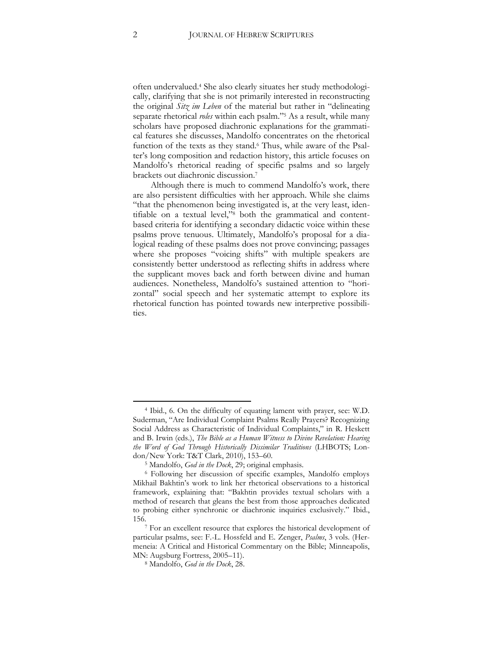often undervalued.<sup>4</sup> She also clearly situates her study methodologically, clarifying that she is not primarily interested in reconstructing the original *Sitz im Leben* of the material but rather in "delineating separate rhetorical *roles* within each psalm."<sup>5</sup> As a result, while many scholars have proposed diachronic explanations for the grammatical features she discusses, Mandolfo concentrates on the rhetorical function of the texts as they stand.<sup>6</sup> Thus, while aware of the Psalter's long composition and redaction history, this article focuses on Mandolfo's rhetorical reading of specific psalms and so largely brackets out diachronic discussion.<sup>7</sup>

Although there is much to commend Mandolfo's work, there are also persistent difficulties with her approach. While she claims "that the phenomenon being investigated is, at the very least, identifiable on a textual level,"<sup>8</sup> both the grammatical and contentbased criteria for identifying a secondary didactic voice within these psalms prove tenuous. Ultimately, Mandolfo's proposal for a dialogical reading of these psalms does not prove convincing; passages where she proposes "voicing shifts" with multiple speakers are consistently better understood as reflecting shifts in address where the supplicant moves back and forth between divine and human audiences. Nonetheless, Mandolfo's sustained attention to "horizontal" social speech and her systematic attempt to explore its rhetorical function has pointed towards new interpretive possibilities.

<sup>4</sup> Ibid., 6. On the difficulty of equating lament with prayer, see: W.D. Suderman, "Are Individual Complaint Psalms Really Prayers? Recognizing Social Address as Characteristic of Individual Complaints," in R. Heskett and B. Irwin (eds.), *The Bible as a Human Witness to Divine Revelation: Hearing the Word of God Through Historically Dissimilar Traditions* (LHBOTS; London/New York: T&T Clark, 2010), 153–60.

<sup>5</sup> Mandolfo, *God in the Dock*, 29; original emphasis.

<sup>6</sup> Following her discussion of specific examples, Mandolfo employs Mikhail Bakhtin's work to link her rhetorical observations to a historical framework, explaining that: "Bakhtin provides textual scholars with a method of research that gleans the best from those approaches dedicated to probing either synchronic or diachronic inquiries exclusively." Ibid., 156.

<sup>7</sup> For an excellent resource that explores the historical development of particular psalms, see: F.-L. Hossfeld and E. Zenger, *Psalms*, 3 vols. (Hermeneia: A Critical and Historical Commentary on the Bible; Minneapolis, MN: Augsburg Fortress, 2005–11).

<sup>8</sup> Mandolfo, *God in the Dock*, 28.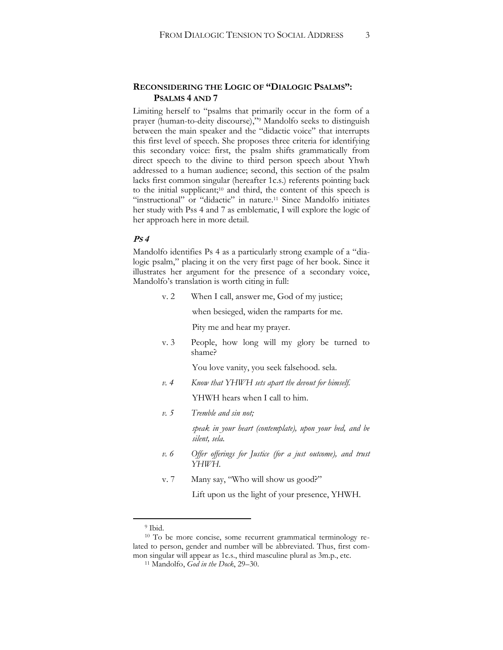#### **RECONSIDERING THE LOGIC OF "DIALOGIC PSALMS": PSALMS 4 AND 7**

Limiting herself to "psalms that primarily occur in the form of a prayer (human-to-deity discourse),"<sup>9</sup> Mandolfo seeks to distinguish between the main speaker and the "didactic voice" that interrupts this first level of speech. She proposes three criteria for identifying this secondary voice: first, the psalm shifts grammatically from direct speech to the divine to third person speech about Yhwh addressed to a human audience; second, this section of the psalm lacks first common singular (hereafter 1c.s.) referents pointing back to the initial supplicant;<sup>10</sup> and third, the content of this speech is "instructional" or "didactic" in nature.<sup>11</sup> Since Mandolfo initiates her study with Pss 4 and 7 as emblematic, I will explore the logic of her approach here in more detail.

#### **PS 4**

Mandolfo identifies Ps 4 as a particularly strong example of a "dialogic psalm," placing it on the very first page of her book. Since it illustrates her argument for the presence of a secondary voice, Mandolfo's translation is worth citing in full:

v. 2 When I call, answer me, God of my justice;

when besieged, widen the ramparts for me.

Pity me and hear my prayer.

v. 3 People, how long will my glory be turned to shame?

You love vanity, you seek falsehood. sela.

*v. 4 Know that YHWH sets apart the devout for himself.*

YHWH hears when I call to him.

*v. 5 Tremble and sin not;*

*speak in your heart (contemplate), upon your bed, and be silent, sela.*

- *v. 6 Offer offerings for Justice (for a just outcome), and trust YHWH.*
- v. 7 Many say, "Who will show us good?"

Lift upon us the light of your presence, YHWH.

<sup>9</sup> Ibid.

<sup>10</sup> To be more concise, some recurrent grammatical terminology related to person, gender and number will be abbreviated. Thus, first common singular will appear as 1c.s., third masculine plural as 3m.p., etc.

<sup>11</sup> Mandolfo, *God in the Dock*, 29–30.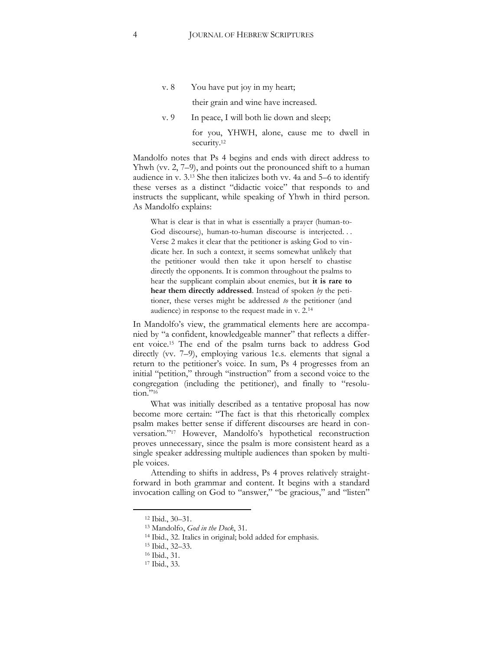v. 8 You have put joy in my heart;

their grain and wine have increased.

v. 9 In peace, I will both lie down and sleep;

for you, YHWH, alone, cause me to dwell in security.<sup>12</sup>

Mandolfo notes that Ps 4 begins and ends with direct address to Yhwh (vv. 2, 7–9), and points out the pronounced shift to a human audience in v. 3.<sup>13</sup> She then italicizes both vv. 4a and 5–6 to identify these verses as a distinct "didactic voice" that responds to and instructs the supplicant, while speaking of Yhwh in third person. As Mandolfo explains:

What is clear is that in what is essentially a prayer (human-to-God discourse), human-to-human discourse is interjected. . . Verse 2 makes it clear that the petitioner is asking God to vindicate her. In such a context, it seems somewhat unlikely that the petitioner would then take it upon herself to chastise directly the opponents. It is common throughout the psalms to hear the supplicant complain about enemies, but **it is rare to hear them directly addressed**. Instead of spoken *by* the petitioner, these verses might be addressed *to* the petitioner (and audience) in response to the request made in v. 2.<sup>14</sup>

In Mandolfo's view, the grammatical elements here are accompanied by "a confident, knowledgeable manner" that reflects a different voice.<sup>15</sup> The end of the psalm turns back to address God directly (vv. 7–9), employing various 1c.s. elements that signal a return to the petitioner's voice. In sum, Ps 4 progresses from an initial "petition," through "instruction" from a second voice to the congregation (including the petitioner), and finally to "resolution."<sup>16</sup>

What was initially described as a tentative proposal has now become more certain: "The fact is that this rhetorically complex psalm makes better sense if different discourses are heard in conversation."<sup>17</sup> However, Mandolfo's hypothetical reconstruction proves unnecessary, since the psalm is more consistent heard as a single speaker addressing multiple audiences than spoken by multiple voices.

Attending to shifts in address, Ps 4 proves relatively straightforward in both grammar and content. It begins with a standard invocation calling on God to "answer," "be gracious," and "listen"

<sup>12</sup> Ibid., 30–31.

<sup>13</sup> Mandolfo, *God in the Dock*, 31.

<sup>14</sup> Ibid., 32. Italics in original; bold added for emphasis.

<sup>15</sup> Ibid., 32–33.

<sup>16</sup> Ibid., 31.

<sup>17</sup> Ibid., 33.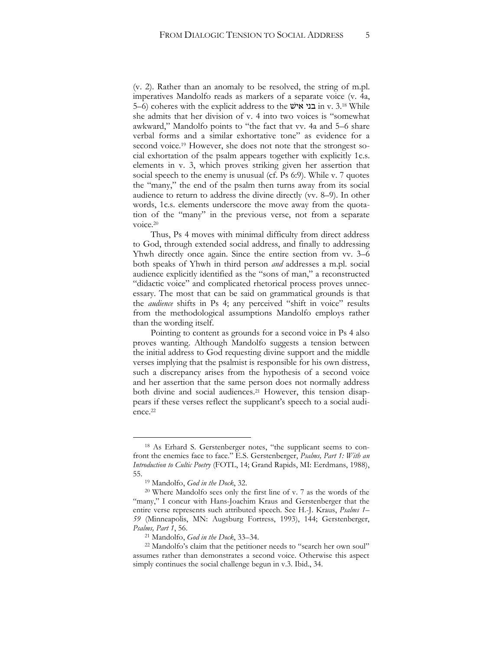(v. 2). Rather than an anomaly to be resolved, the string of m.pl. imperatives Mandolfo reads as markers of a separate voice (v. 4a, 5–6) coheres with the explicit address to the אישׁ בני in v. 3.<sup>18</sup> While she admits that her division of v. 4 into two voices is "somewhat awkward," Mandolfo points to "the fact that vv. 4a and 5–6 share verbal forms and a similar exhortative tone" as evidence for a second voice.<sup>19</sup> However, she does not note that the strongest social exhortation of the psalm appears together with explicitly 1c.s. elements in v. 3, which proves striking given her assertion that social speech to the enemy is unusual (cf. Ps 6:9). While v. 7 quotes the "many," the end of the psalm then turns away from its social audience to return to address the divine directly (vv. 8–9). In other words, 1c.s. elements underscore the move away from the quotation of the "many" in the previous verse, not from a separate voice.<sup>20</sup>

Thus, Ps 4 moves with minimal difficulty from direct address to God, through extended social address, and finally to addressing Yhwh directly once again. Since the entire section from vv. 3–6 both speaks of Yhwh in third person *and* addresses a m.pl. social audience explicitly identified as the "sons of man," a reconstructed "didactic voice" and complicated rhetorical process proves unnecessary. The most that can be said on grammatical grounds is that the *audience* shifts in Ps 4; any perceived "shift in voice" results from the methodological assumptions Mandolfo employs rather than the wording itself.

Pointing to content as grounds for a second voice in Ps 4 also proves wanting. Although Mandolfo suggests a tension between the initial address to God requesting divine support and the middle verses implying that the psalmist is responsible for his own distress, such a discrepancy arises from the hypothesis of a second voice and her assertion that the same person does not normally address both divine and social audiences.<sup>21</sup> However, this tension disappears if these verses reflect the supplicant's speech to a social audience.<sup>22</sup>

<sup>18</sup> As Erhard S. Gerstenberger notes, "the supplicant seems to confront the enemies face to face." E.S. Gerstenberger, *Psalms, Part 1: With an Introduction to Cultic Poetry* (FOTL, 14; Grand Rapids, MI: Eerdmans, 1988), 55.

<sup>19</sup> Mandolfo, *God in the Dock*, 32.

<sup>20</sup> Where Mandolfo sees only the first line of v. 7 as the words of the "many," I concur with Hans-Joachim Kraus and Gerstenberger that the entire verse represents such attributed speech. See H.-J. Kraus, *Psalms 1– 59* (Minneapolis, MN: Augsburg Fortress, 1993), 144; Gerstenberger, *Psalms, Part 1*, 56.

<sup>21</sup> Mandolfo, *God in the Dock*, 33–34.

<sup>&</sup>lt;sup>22</sup> Mandolfo's claim that the petitioner needs to "search her own soul" assumes rather than demonstrates a second voice. Otherwise this aspect simply continues the social challenge begun in v.3. Ibid., 34.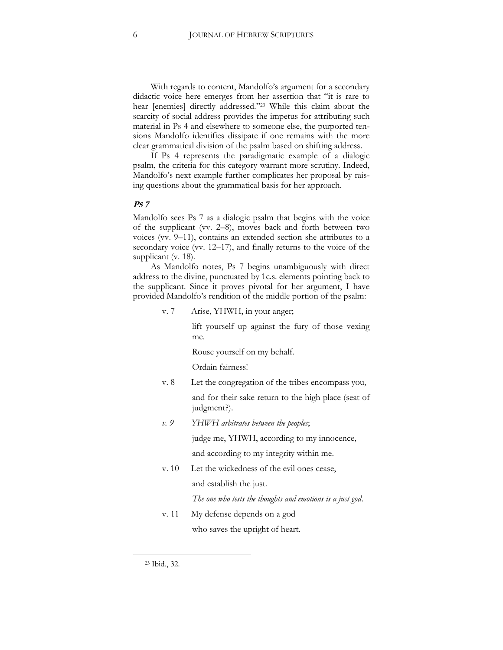With regards to content, Mandolfo's argument for a secondary didactic voice here emerges from her assertion that "it is rare to hear [enemies] directly addressed."<sup>23</sup> While this claim about the scarcity of social address provides the impetus for attributing such material in Ps 4 and elsewhere to someone else, the purported tensions Mandolfo identifies dissipate if one remains with the more clear grammatical division of the psalm based on shifting address.

If Ps 4 represents the paradigmatic example of a dialogic psalm, the criteria for this category warrant more scrutiny. Indeed, Mandolfo's next example further complicates her proposal by raising questions about the grammatical basis for her approach.

#### **PS 7**

Mandolfo sees Ps 7 as a dialogic psalm that begins with the voice of the supplicant (vv. 2–8), moves back and forth between two voices (vv. 9–11), contains an extended section she attributes to a secondary voice (vv. 12–17), and finally returns to the voice of the supplicant (v. 18).

As Mandolfo notes, Ps 7 begins unambiguously with direct address to the divine, punctuated by 1c.s. elements pointing back to the supplicant. Since it proves pivotal for her argument, I have provided Mandolfo's rendition of the middle portion of the psalm:

v. 7 Arise, YHWH, in your anger;

lift yourself up against the fury of those vexing me.

Rouse yourself on my behalf.

Ordain fairness!

- v. 8 Let the congregation of the tribes encompass you, and for their sake return to the high place (seat of judgment?).
- *v. 9 YHWH arbitrates between the peoples*;

judge me, YHWH, according to my innocence,

and according to my integrity within me.

v. 10 Let the wickedness of the evil ones cease, and establish the just.

*The one who tests the thoughts and emotions is a just god*.

v. 11 My defense depends on a god who saves the upright of heart.

<sup>23</sup> Ibid., 32.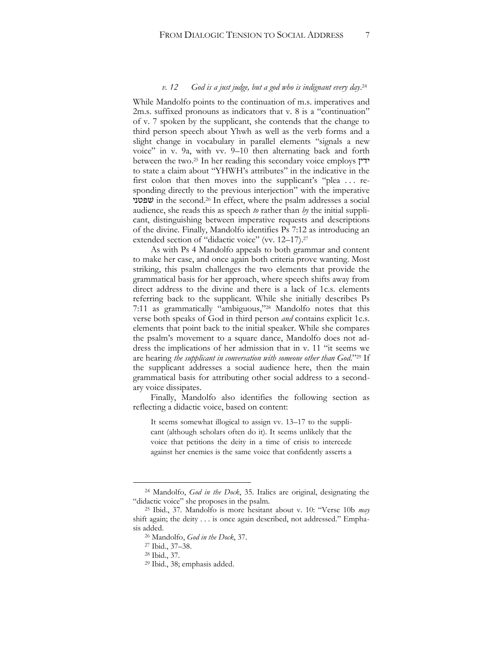#### *v. 12 God is a just judge, but a god who is indignant every day*. 24

While Mandolfo points to the continuation of m.s. imperatives and 2m.s. suffixed pronouns as indicators that v. 8 is a "continuation" of v. 7 spoken by the supplicant, she contends that the change to third person speech about Yhwh as well as the verb forms and a slight change in vocabulary in parallel elements "signals a new voice" in v. 9a, with vv. 9–10 then alternating back and forth between the two.<sup>25</sup> In her reading this secondary voice employs ידין to state a claim about "YHWH's attributes" in the indicative in the first colon that then moves into the supplicant's "plea . . . responding directly to the previous interjection" with the imperative שׁפטני in the second.<sup>26</sup> In effect, where the psalm addresses a social audience, she reads this as speech *to* rather than *by* the initial supplicant, distinguishing between imperative requests and descriptions of the divine. Finally, Mandolfo identifies Ps 7:12 as introducing an extended section of "didactic voice" (vv. 12–17).<sup>27</sup>

As with Ps 4 Mandolfo appeals to both grammar and content to make her case, and once again both criteria prove wanting. Most striking, this psalm challenges the two elements that provide the grammatical basis for her approach, where speech shifts away from direct address to the divine and there is a lack of 1c.s. elements referring back to the supplicant. While she initially describes Ps 7:11 as grammatically "ambiguous,"<sup>28</sup> Mandolfo notes that this verse both speaks of God in third person *and* contains explicit 1c.s. elements that point back to the initial speaker. While she compares the psalm's movement to a square dance, Mandolfo does not address the implications of her admission that in v. 11 "it seems we are hearing *the supplicant in conversation with someone other than God*."<sup>29</sup> If the supplicant addresses a social audience here, then the main grammatical basis for attributing other social address to a secondary voice dissipates.

Finally, Mandolfo also identifies the following section as reflecting a didactic voice, based on content:

It seems somewhat illogical to assign vv. 13–17 to the supplicant (although scholars often do it). It seems unlikely that the voice that petitions the deity in a time of crisis to intercede against her enemies is the same voice that confidently asserts a

<sup>24</sup> Mandolfo, *God in the Dock*, 35. Italics are original, designating the "didactic voice" she proposes in the psalm.

<sup>25</sup> Ibid., 37. Mandolfo is more hesitant about v. 10: "Verse 10b *may*  shift again; the deity . . . is once again described, not addressed." Emphasis added.

<sup>26</sup> Mandolfo, *God in the Dock*, 37.

<sup>27</sup> Ibid., 37–38.

<sup>28</sup> Ibid., 37.

<sup>29</sup> Ibid., 38; emphasis added.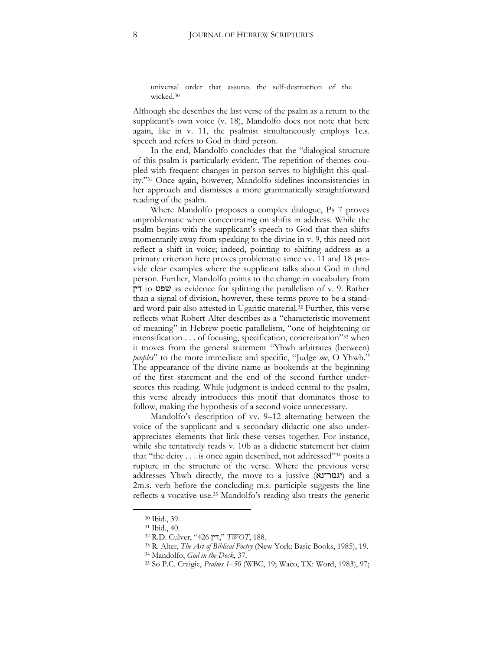universal order that assures the self-destruction of the wicked.<sup>30</sup>

Although she describes the last verse of the psalm as a return to the supplicant's own voice (v. 18), Mandolfo does not note that here again, like in v. 11, the psalmist simultaneously employs 1c.s. speech and refers to God in third person.

In the end, Mandolfo concludes that the "dialogical structure of this psalm is particularly evident. The repetition of themes coupled with frequent changes in person serves to highlight this quality."<sup>31</sup> Once again, however, Mandolfo sidelines inconsistencies in her approach and dismisses a more grammatically straightforward reading of the psalm.

Where Mandolfo proposes a complex dialogue, Ps 7 proves unproblematic when concentrating on shifts in address. While the psalm begins with the supplicant's speech to God that then shifts momentarily away from speaking to the divine in v. 9, this need not reflect a shift in voice; indeed, pointing to shifting address as a primary criterion here proves problematic since vv. 11 and 18 provide clear examples where the supplicant talks about God in third person. Further, Mandolfo points to the change in vocabulary from דין to שׁפט as evidence for splitting the parallelism of v. 9. Rather than a signal of division, however, these terms prove to be a standard word pair also attested in Ugaritic material.<sup>32</sup> Further, this verse reflects what Robert Alter describes as a "characteristic movement of meaning" in Hebrew poetic parallelism, "one of heightening or intensification . . . of focusing, specification, concretization"<sup>33</sup> when it moves from the general statement "Yhwh arbitrates (between) *peoples*" to the more immediate and specific, "Judge *me*, O Yhwh." The appearance of the divine name as bookends at the beginning of the first statement and the end of the second further underscores this reading. While judgment is indeed central to the psalm, this verse already introduces this motif that dominates those to follow, making the hypothesis of a second voice unnecessary.

Mandolfo's description of vv. 9–12 alternating between the voice of the supplicant and a secondary didactic one also underappreciates elements that link these verses together. For instance, while she tentatively reads v. 10b as a didactic statement her claim that "the deity . . . is once again described, not addressed"<sup>34</sup> posits a rupture in the structure of the verse. Where the previous verse addresses Yhwh directly, the move to a jussive (**יגמר־נא**) and a 2m.s. verb before the concluding m.s. participle suggests the line reflects a vocative use.<sup>35</sup> Mandolfo's reading also treats the generic

<sup>30</sup> Ibid., 39.

<sup>31</sup> Ibid., 40.

<sup>32</sup> R.D. Culver, "426 דין, "*TWOT*, 188.

<sup>33</sup> R. Alter, *The Art of Biblical Poetry* (New York: Basic Books, 1985), 19.

<sup>34</sup> Mandolfo, *God in the Dock*, 37.

<sup>35</sup> So P.C. Craigie, *Psalms 1–50* (WBC, 19; Waco, TX: Word, 1983), 97;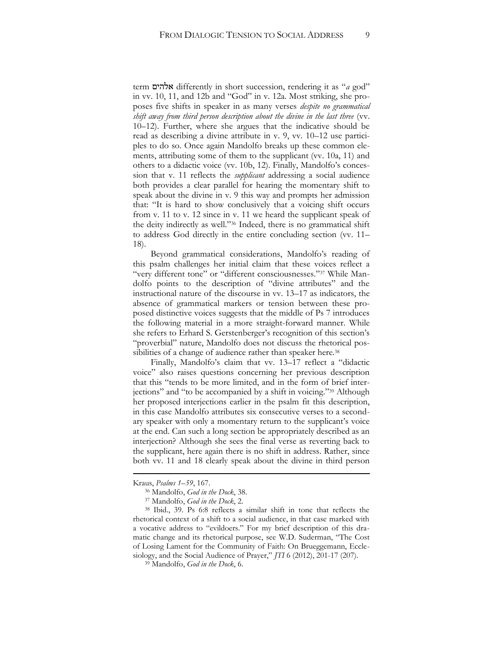term אלהים differently in short succession, rendering it as "*a* god" in vv. 10, 11, and 12b and "God" in v. 12a. Most striking, she proposes five shifts in speaker in as many verses *despite no grammatical shift away from third person description about the divine in the last three* (vv. 10–12). Further, where she argues that the indicative should be read as describing a divine attribute in v. 9, vv. 10–12 use participles to do so. Once again Mandolfo breaks up these common elements, attributing some of them to the supplicant (vv. 10a, 11) and others to a didactic voice (vv. 10b, 12). Finally, Mandolfo's concession that v. 11 reflects the *supplicant* addressing a social audience both provides a clear parallel for hearing the momentary shift to speak about the divine in v. 9 this way and prompts her admission that: "It is hard to show conclusively that a voicing shift occurs from v. 11 to v. 12 since in v. 11 we heard the supplicant speak of the deity indirectly as well."<sup>36</sup> Indeed, there is no grammatical shift to address God directly in the entire concluding section (vv. 11– 18).

Beyond grammatical considerations, Mandolfo's reading of this psalm challenges her initial claim that these voices reflect a "very different tone" or "different consciousnesses."<sup>37</sup> While Mandolfo points to the description of "divine attributes" and the instructional nature of the discourse in vv. 13–17 as indicators, the absence of grammatical markers or tension between these proposed distinctive voices suggests that the middle of Ps 7 introduces the following material in a more straight-forward manner. While she refers to Erhard S. Gerstenberger's recognition of this section's "proverbial" nature, Mandolfo does not discuss the rhetorical possibilities of a change of audience rather than speaker here.<sup>38</sup>

Finally, Mandolfo's claim that vv. 13–17 reflect a "didactic voice" also raises questions concerning her previous description that this "tends to be more limited, and in the form of brief interjections" and "to be accompanied by a shift in voicing."<sup>39</sup> Although her proposed interjections earlier in the psalm fit this description, in this case Mandolfo attributes six consecutive verses to a secondary speaker with only a momentary return to the supplicant's voice at the end. Can such a long section be appropriately described as an interjection? Although she sees the final verse as reverting back to the supplicant, here again there is no shift in address. Rather, since both vv. 11 and 18 clearly speak about the divine in third person

**.** 

Kraus, *Psalms 1–59*, 167.

<sup>36</sup> Mandolfo, *God in the Dock*, 38.

<sup>37</sup> Mandolfo, *God in the Dock*, 2.

<sup>38</sup> Ibid., 39. Ps 6:8 reflects a similar shift in tone that reflects the rhetorical context of a shift to a social audience, in that case marked with a vocative address to "evildoers." For my brief description of this dramatic change and its rhetorical purpose, see W.D. Suderman, "The Cost of Losing Lament for the Community of Faith: On Brueggemann, Ecclesiology, and the Social Audience of Prayer," *JTI* 6 (2012), 201-17 (207).

<sup>39</sup> Mandolfo, *God in the Dock*, 6.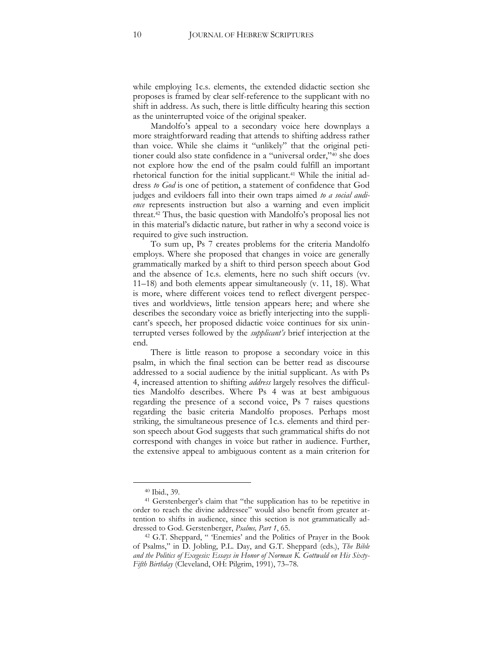while employing 1c.s. elements, the extended didactic section she proposes is framed by clear self-reference to the supplicant with no shift in address. As such, there is little difficulty hearing this section as the uninterrupted voice of the original speaker.

Mandolfo's appeal to a secondary voice here downplays a more straightforward reading that attends to shifting address rather than voice. While she claims it "unlikely" that the original petitioner could also state confidence in a "universal order,"<sup>40</sup> she does not explore how the end of the psalm could fulfill an important rhetorical function for the initial supplicant.<sup>41</sup> While the initial address *to God* is one of petition, a statement of confidence that God judges and evildoers fall into their own traps aimed *to a social audience* represents instruction but also a warning and even implicit threat.<sup>42</sup> Thus, the basic question with Mandolfo's proposal lies not in this material's didactic nature, but rather in why a second voice is required to give such instruction.

To sum up, Ps 7 creates problems for the criteria Mandolfo employs. Where she proposed that changes in voice are generally grammatically marked by a shift to third person speech about God and the absence of 1c.s. elements, here no such shift occurs (vv. 11–18) and both elements appear simultaneously (v. 11, 18). What is more, where different voices tend to reflect divergent perspectives and worldviews, little tension appears here; and where she describes the secondary voice as briefly interjecting into the supplicant's speech, her proposed didactic voice continues for six uninterrupted verses followed by the *supplicant's* brief interjection at the end.

There is little reason to propose a secondary voice in this psalm, in which the final section can be better read as discourse addressed to a social audience by the initial supplicant. As with Ps 4, increased attention to shifting *address* largely resolves the difficulties Mandolfo describes. Where Ps 4 was at best ambiguous regarding the presence of a second voice, Ps 7 raises questions regarding the basic criteria Mandolfo proposes. Perhaps most striking, the simultaneous presence of 1c.s. elements and third person speech about God suggests that such grammatical shifts do not correspond with changes in voice but rather in audience. Further, the extensive appeal to ambiguous content as a main criterion for

<sup>40</sup> Ibid., 39.

<sup>41</sup> Gerstenberger's claim that "the supplication has to be repetitive in order to reach the divine addressee" would also benefit from greater attention to shifts in audience, since this section is not grammatically addressed to God. Gerstenberger, *Psalms, Part 1*, 65.

<sup>42</sup> G.T. Sheppard, " 'Enemies' and the Politics of Prayer in the Book of Psalms," in D. Jobling, P.L. Day, and G.T. Sheppard (eds.), *The Bible and the Politics of Exegesis: Essays in Honor of Norman K. Gottwald on His Sixty-Fifth Birthday* (Cleveland, OH: Pilgrim, 1991), 73–78.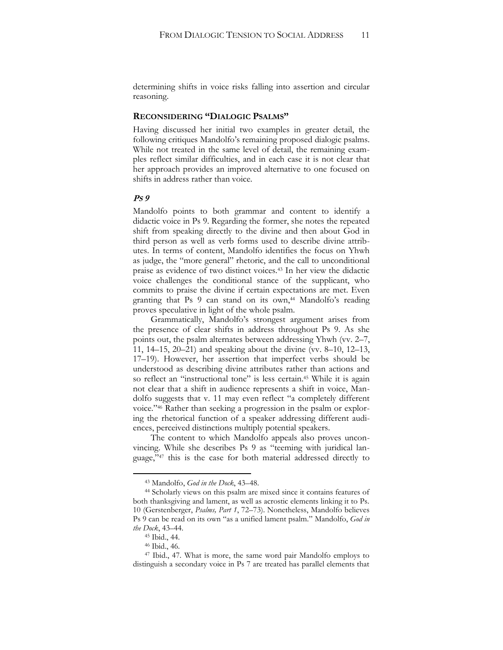determining shifts in voice risks falling into assertion and circular reasoning.

#### **RECONSIDERING "DIALOGIC PSALMS"**

Having discussed her initial two examples in greater detail, the following critiques Mandolfo's remaining proposed dialogic psalms. While not treated in the same level of detail, the remaining examples reflect similar difficulties, and in each case it is not clear that her approach provides an improved alternative to one focused on shifts in address rather than voice.

#### **PS 9**

Mandolfo points to both grammar and content to identify a didactic voice in Ps 9. Regarding the former, she notes the repeated shift from speaking directly to the divine and then about God in third person as well as verb forms used to describe divine attributes. In terms of content, Mandolfo identifies the focus on Yhwh as judge, the "more general" rhetoric, and the call to unconditional praise as evidence of two distinct voices.<sup>43</sup> In her view the didactic voice challenges the conditional stance of the supplicant, who commits to praise the divine if certain expectations are met. Even granting that Ps 9 can stand on its own,<sup>44</sup> Mandolfo's reading proves speculative in light of the whole psalm.

Grammatically, Mandolfo's strongest argument arises from the presence of clear shifts in address throughout Ps 9. As she points out, the psalm alternates between addressing Yhwh (vv. 2–7, 11, 14–15, 20–21) and speaking about the divine (vv. 8–10, 12–13, 17–19). However, her assertion that imperfect verbs should be understood as describing divine attributes rather than actions and so reflect an "instructional tone" is less certain.<sup>45</sup> While it is again not clear that a shift in audience represents a shift in voice, Mandolfo suggests that v. 11 may even reflect "a completely different voice."<sup>46</sup> Rather than seeking a progression in the psalm or exploring the rhetorical function of a speaker addressing different audiences, perceived distinctions multiply potential speakers.

The content to which Mandolfo appeals also proves unconvincing. While she describes Ps 9 as "teeming with juridical language,"<sup>47</sup> this is the case for both material addressed directly to

<sup>43</sup> Mandolfo, *God in the Dock*, 43–48.

<sup>44</sup> Scholarly views on this psalm are mixed since it contains features of both thanksgiving and lament, as well as acrostic elements linking it to Ps. 10 (Gerstenberger, *Psalms, Part 1*, 72–73). Nonetheless, Mandolfo believes Ps 9 can be read on its own "as a unified lament psalm." Mandolfo, *God in the Dock*, 43–44.

<sup>45</sup> Ibid., 44.

<sup>46</sup> Ibid., 46.

<sup>47</sup> Ibid., 47. What is more, the same word pair Mandolfo employs to distinguish a secondary voice in Ps 7 are treated has parallel elements that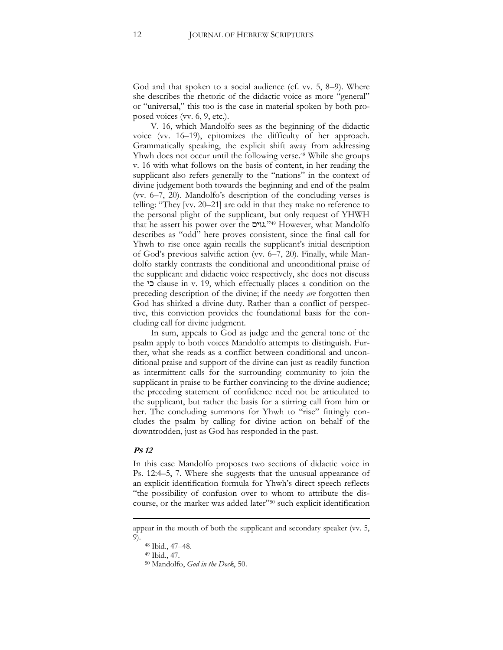God and that spoken to a social audience (cf. vv. 5, 8–9). Where she describes the rhetoric of the didactic voice as more "general" or "universal," this too is the case in material spoken by both proposed voices (vv. 6, 9, etc.).

V. 16, which Mandolfo sees as the beginning of the didactic voice (vv. 16–19), epitomizes the difficulty of her approach. Grammatically speaking, the explicit shift away from addressing Yhwh does not occur until the following verse.<sup>48</sup> While she groups v. 16 with what follows on the basis of content, in her reading the supplicant also refers generally to the "nations" in the context of divine judgement both towards the beginning and end of the psalm (vv. 6–7, 20). Mandolfo's description of the concluding verses is telling: "They [vv. 20–21] are odd in that they make no reference to the personal plight of the supplicant, but only request of YHWH that he assert his power over the גוים."<sup>49</sup> However, what Mandolfo describes as "odd" here proves consistent, since the final call for Yhwh to rise once again recalls the supplicant's initial description of God's previous salvific action (vv. 6–7, 20). Finally, while Mandolfo starkly contrasts the conditional and unconditional praise of the supplicant and didactic voice respectively, she does not discuss the כי clause in v. 19, which effectually places a condition on the preceding description of the divine; if the needy *are* forgotten then God has shirked a divine duty. Rather than a conflict of perspective, this conviction provides the foundational basis for the concluding call for divine judgment.

In sum, appeals to God as judge and the general tone of the psalm apply to both voices Mandolfo attempts to distinguish. Further, what she reads as a conflict between conditional and unconditional praise and support of the divine can just as readily function as intermittent calls for the surrounding community to join the supplicant in praise to be further convincing to the divine audience; the preceding statement of confidence need not be articulated to the supplicant, but rather the basis for a stirring call from him or her. The concluding summons for Yhwh to "rise" fittingly concludes the psalm by calling for divine action on behalf of the downtrodden, just as God has responded in the past.

#### **PS 12**

**.** 

In this case Mandolfo proposes two sections of didactic voice in Ps. 12:4–5, 7. Where she suggests that the unusual appearance of an explicit identification formula for Yhwh's direct speech reflects "the possibility of confusion over to whom to attribute the discourse, or the marker was added later"<sup>50</sup> such explicit identification

appear in the mouth of both the supplicant and secondary speaker (vv. 5, 9).

<sup>48</sup> Ibid., 47–48.

<sup>49</sup> Ibid., 47.

<sup>50</sup> Mandolfo, *God in the Dock*, 50.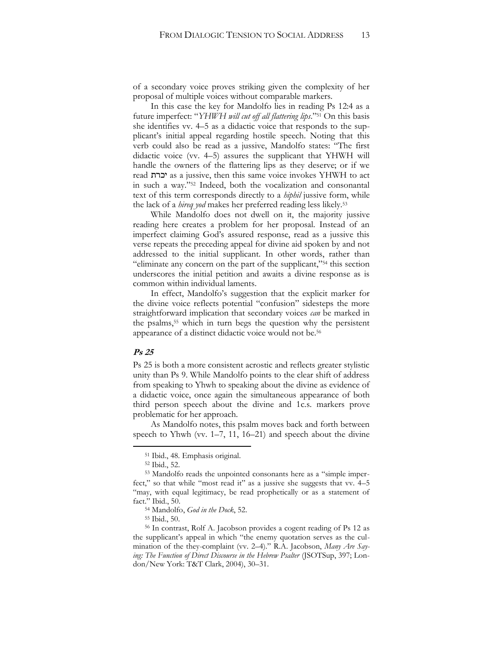of a secondary voice proves striking given the complexity of her proposal of multiple voices without comparable markers.

In this case the key for Mandolfo lies in reading Ps 12:4 as a future imperfect: "*YHWH will cut off all flattering lips*." <sup>51</sup> On this basis she identifies vv. 4–5 as a didactic voice that responds to the supplicant's initial appeal regarding hostile speech. Noting that this verb could also be read as a jussive, Mandolfo states: "The first didactic voice (vv. 4–5) assures the supplicant that YHWH will handle the owners of the flattering lips as they deserve; or if we read יכרת as a jussive, then this same voice invokes YHWH to act in such a way."<sup>52</sup> Indeed, both the vocalization and consonantal text of this term corresponds directly to a *hiphil* jussive form, while the lack of a *hireq yod* makes her preferred reading less likely.<sup>53</sup>

While Mandolfo does not dwell on it, the majority jussive reading here creates a problem for her proposal. Instead of an imperfect claiming God's assured response, read as a jussive this verse repeats the preceding appeal for divine aid spoken by and not addressed to the initial supplicant. In other words, rather than "eliminate any concern on the part of the supplicant,"<sup>54</sup> this section underscores the initial petition and awaits a divine response as is common within individual laments.

In effect, Mandolfo's suggestion that the explicit marker for the divine voice reflects potential "confusion" sidesteps the more straightforward implication that secondary voices *can* be marked in the psalms,<sup>55</sup> which in turn begs the question why the persistent appearance of a distinct didactic voice would not be.<sup>56</sup>

#### **Ps 25**

 $\overline{a}$ 

Ps 25 is both a more consistent acrostic and reflects greater stylistic unity than Ps 9. While Mandolfo points to the clear shift of address from speaking to Yhwh to speaking about the divine as evidence of a didactic voice, once again the simultaneous appearance of both third person speech about the divine and 1c.s. markers prove problematic for her approach.

As Mandolfo notes, this psalm moves back and forth between speech to Yhwh (vv. 1–7, 11, 16–21) and speech about the divine

<sup>51</sup> Ibid., 48. Emphasis original.

<sup>52</sup> Ibid., 52.

<sup>53</sup> Mandolfo reads the unpointed consonants here as a "simple imperfect," so that while "most read it" as a jussive she suggests that vv. 4–5 "may, with equal legitimacy, be read prophetically or as a statement of fact." Ibid., 50.

<sup>54</sup> Mandolfo, *God in the Dock*, 52.

<sup>55</sup> Ibid., 50.

<sup>56</sup> In contrast, Rolf A. Jacobson provides a cogent reading of Ps 12 as the supplicant's appeal in which "the enemy quotation serves as the culmination of the they-complaint (vv. 2–4)." R.A. Jacobson, *Many Are Saying: The Function of Direct Discourse in the Hebrew Psalter* (JSOTSup, 397; London/New York: T&T Clark, 2004), 30–31.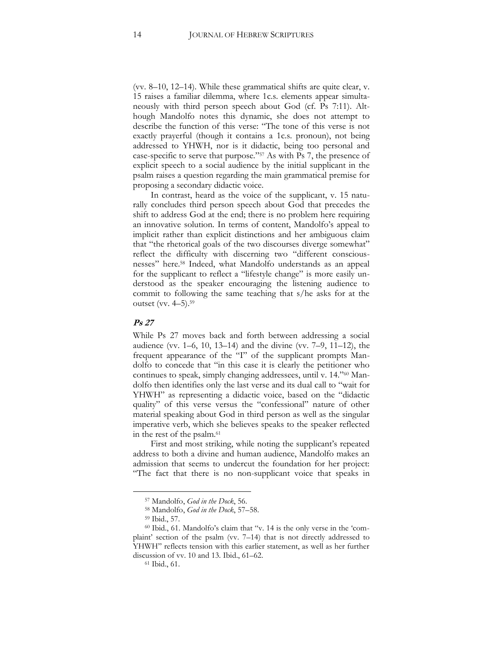(vv. 8–10, 12–14). While these grammatical shifts are quite clear, v. 15 raises a familiar dilemma, where 1c.s. elements appear simultaneously with third person speech about God (cf. Ps 7:11). Although Mandolfo notes this dynamic, she does not attempt to describe the function of this verse: "The tone of this verse is not exactly prayerful (though it contains a 1c.s. pronoun), not being addressed to YHWH, nor is it didactic, being too personal and case-specific to serve that purpose."<sup>57</sup> As with Ps 7, the presence of explicit speech to a social audience by the initial supplicant in the psalm raises a question regarding the main grammatical premise for proposing a secondary didactic voice.

In contrast, heard as the voice of the supplicant, v. 15 naturally concludes third person speech about God that precedes the shift to address God at the end; there is no problem here requiring an innovative solution. In terms of content, Mandolfo's appeal to implicit rather than explicit distinctions and her ambiguous claim that "the rhetorical goals of the two discourses diverge somewhat" reflect the difficulty with discerning two "different consciousnesses" here.<sup>58</sup> Indeed, what Mandolfo understands as an appeal for the supplicant to reflect a "lifestyle change" is more easily understood as the speaker encouraging the listening audience to commit to following the same teaching that s/he asks for at the outset (vv. 4–5).<sup>59</sup>

#### **Ps 27**

While Ps 27 moves back and forth between addressing a social audience (vv. 1–6, 10, 13–14) and the divine (vv. 7–9, 11–12), the frequent appearance of the "I" of the supplicant prompts Mandolfo to concede that "in this case it is clearly the petitioner who continues to speak, simply changing addressees, until v. 14."<sup>60</sup> Mandolfo then identifies only the last verse and its dual call to "wait for YHWH" as representing a didactic voice, based on the "didactic quality" of this verse versus the "confessional" nature of other material speaking about God in third person as well as the singular imperative verb, which she believes speaks to the speaker reflected in the rest of the psalm.<sup>61</sup>

First and most striking, while noting the supplicant's repeated address to both a divine and human audience, Mandolfo makes an admission that seems to undercut the foundation for her project: "The fact that there is no non-supplicant voice that speaks in

<sup>57</sup> Mandolfo, *God in the Dock*, 56.

<sup>58</sup> Mandolfo, *God in the Dock*, 57–58.

<sup>59</sup> Ibid., 57.

<sup>60</sup> Ibid., 61. Mandolfo's claim that "v. 14 is the only verse in the 'complaint' section of the psalm (vv. 7–14) that is not directly addressed to YHWH" reflects tension with this earlier statement, as well as her further discussion of vv. 10 and 13. Ibid., 61–62.

<sup>61</sup> Ibid., 61.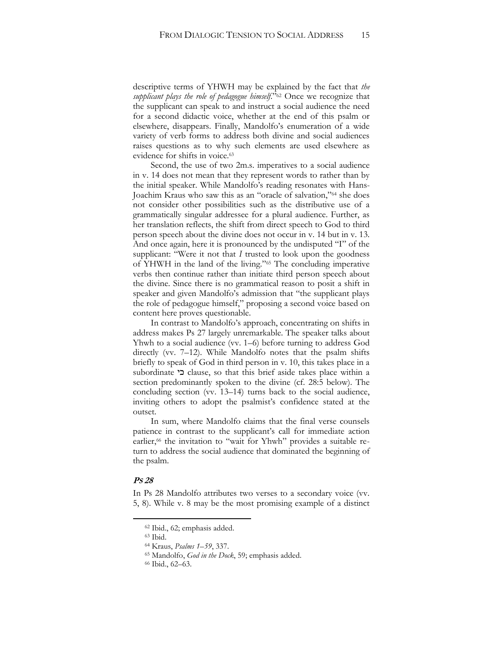descriptive terms of YHWH may be explained by the fact that *the supplicant plays the role of pedagogue himself*."<sup>62</sup> Once we recognize that the supplicant can speak to and instruct a social audience the need for a second didactic voice, whether at the end of this psalm or elsewhere, disappears. Finally, Mandolfo's enumeration of a wide variety of verb forms to address both divine and social audiences raises questions as to why such elements are used elsewhere as evidence for shifts in voice.<sup>63</sup>

Second, the use of two 2m.s. imperatives to a social audience in v. 14 does not mean that they represent words to rather than by the initial speaker. While Mandolfo's reading resonates with Hans-Joachim Kraus who saw this as an "oracle of salvation,"<sup>64</sup> she does not consider other possibilities such as the distributive use of a grammatically singular addressee for a plural audience. Further, as her translation reflects, the shift from direct speech to God to third person speech about the divine does not occur in v. 14 but in v. 13. And once again, here it is pronounced by the undisputed "I" of the supplicant: "Were it not that *I* trusted to look upon the goodness of YHWH in the land of the living."<sup>65</sup> The concluding imperative verbs then continue rather than initiate third person speech about the divine. Since there is no grammatical reason to posit a shift in speaker and given Mandolfo's admission that "the supplicant plays the role of pedagogue himself," proposing a second voice based on content here proves questionable.

In contrast to Mandolfo's approach, concentrating on shifts in address makes Ps 27 largely unremarkable. The speaker talks about Yhwh to a social audience (vv. 1–6) before turning to address God directly (vv. 7–12). While Mandolfo notes that the psalm shifts briefly to speak of God in third person in v. 10, this takes place in a subordinate כי clause, so that this brief aside takes place within a section predominantly spoken to the divine (cf. 28:5 below). The concluding section (vv. 13–14) turns back to the social audience, inviting others to adopt the psalmist's confidence stated at the outset.

In sum, where Mandolfo claims that the final verse counsels patience in contrast to the supplicant's call for immediate action earlier,<sup>66</sup> the invitation to "wait for Yhwh" provides a suitable return to address the social audience that dominated the beginning of the psalm.

#### **PS 28**

 $\overline{a}$ 

In Ps 28 Mandolfo attributes two verses to a secondary voice (vv. 5, 8). While v. 8 may be the most promising example of a distinct

<sup>62</sup> Ibid., 62; emphasis added.

<sup>63</sup> Ibid.

<sup>64</sup> Kraus, *Psalms 1–59*, 337.

<sup>65</sup> Mandolfo, *God in the Dock*, 59; emphasis added.

<sup>66</sup> Ibid., 62–63.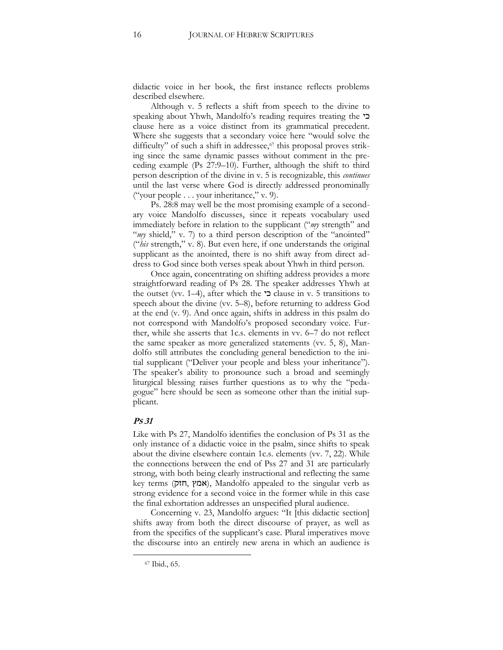didactic voice in her book, the first instance reflects problems described elsewhere.

Although v. 5 reflects a shift from speech to the divine to speaking about Yhwh, Mandolfo's reading requires treating the כי clause here as a voice distinct from its grammatical precedent. Where she suggests that a secondary voice here "would solve the difficulty" of such a shift in addressee,<sup>67</sup> this proposal proves striking since the same dynamic passes without comment in the preceding example (Ps 27:9–10). Further, although the shift to third person description of the divine in v. 5 is recognizable, this *continues* until the last verse where God is directly addressed pronominally ("your people . . . your inheritance," v. 9).

Ps. 28:8 may well be the most promising example of a secondary voice Mandolfo discusses, since it repeats vocabulary used immediately before in relation to the supplicant ("*my* strength" and "*my* shield," v. 7) to a third person description of the "anointed" ("*his* strength," v. 8). But even here, if one understands the original supplicant as the anointed, there is no shift away from direct address to God since both verses speak about Yhwh in third person.

Once again, concentrating on shifting address provides a more straightforward reading of Ps 28. The speaker addresses Yhwh at the outset (vv. 1–4), after which the  $\sim$  clause in v. 5 transitions to speech about the divine (vv. 5–8), before returning to address God at the end (v. 9). And once again, shifts in address in this psalm do not correspond with Mandolfo's proposed secondary voice. Further, while she asserts that 1c.s. elements in vv. 6–7 do not reflect the same speaker as more generalized statements (vv. 5, 8), Mandolfo still attributes the concluding general benediction to the initial supplicant ("Deliver your people and bless your inheritance"). The speaker's ability to pronounce such a broad and seemingly liturgical blessing raises further questions as to why the "pedagogue" here should be seen as someone other than the initial supplicant.

#### **PS 31**

Like with Ps 27, Mandolfo identifies the conclusion of Ps 31 as the only instance of a didactic voice in the psalm, since shifts to speak about the divine elsewhere contain 1c.s. elements (vv. 7, 22). While the connections between the end of Pss 27 and 31 are particularly strong, with both being clearly instructional and reflecting the same key terms (אמץ, Mandolfo appealed to the singular verb as strong evidence for a second voice in the former while in this case the final exhortation addresses an unspecified plural audience.

Concerning v. 23, Mandolfo argues: "It [this didactic section] shifts away from both the direct discourse of prayer, as well as from the specifics of the supplicant's case. Plural imperatives move the discourse into an entirely new arena in which an audience is

<sup>67</sup> Ibid., 65.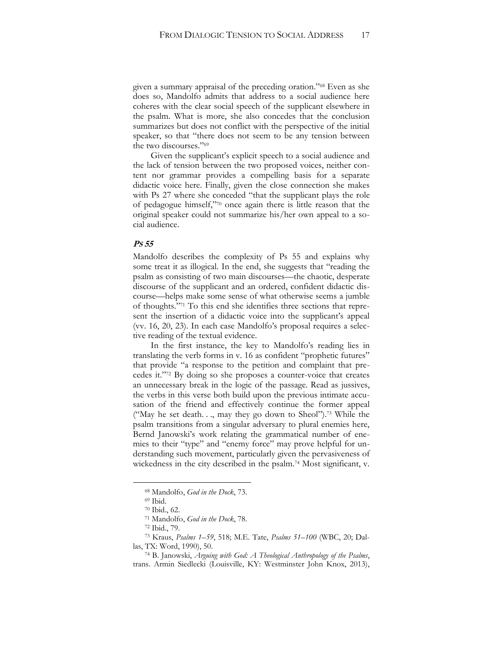given a summary appraisal of the preceding oration."<sup>68</sup> Even as she does so, Mandolfo admits that address to a social audience here coheres with the clear social speech of the supplicant elsewhere in the psalm. What is more, she also concedes that the conclusion summarizes but does not conflict with the perspective of the initial speaker, so that "there does not seem to be any tension between the two discourses."<sup>69</sup>

Given the supplicant's explicit speech to a social audience and the lack of tension between the two proposed voices, neither content nor grammar provides a compelling basis for a separate didactic voice here. Finally, given the close connection she makes with Ps 27 where she conceded "that the supplicant plays the role of pedagogue himself,"<sup>70</sup> once again there is little reason that the original speaker could not summarize his/her own appeal to a social audience.

#### **PS 55**

Mandolfo describes the complexity of Ps 55 and explains why some treat it as illogical. In the end, she suggests that "reading the psalm as consisting of two main discourses—the chaotic, desperate discourse of the supplicant and an ordered, confident didactic discourse—helps make some sense of what otherwise seems a jumble of thoughts."<sup>71</sup> To this end she identifies three sections that represent the insertion of a didactic voice into the supplicant's appeal (vv. 16, 20, 23). In each case Mandolfo's proposal requires a selective reading of the textual evidence.

In the first instance, the key to Mandolfo's reading lies in translating the verb forms in v. 16 as confident "prophetic futures" that provide "a response to the petition and complaint that precedes it."<sup>72</sup> By doing so she proposes a counter-voice that creates an unnecessary break in the logic of the passage. Read as jussives, the verbs in this verse both build upon the previous intimate accusation of the friend and effectively continue the former appeal ("May he set death. . ., may they go down to Sheol").<sup>73</sup> While the psalm transitions from a singular adversary to plural enemies here, Bernd Janowski's work relating the grammatical number of enemies to their "type" and "enemy force" may prove helpful for understanding such movement, particularly given the pervasiveness of wickedness in the city described in the psalm.<sup>74</sup> Most significant, v.

<sup>68</sup> Mandolfo, *God in the Dock*, 73.

<sup>69</sup> Ibid.

<sup>70</sup> Ibid., 62.

<sup>71</sup> Mandolfo, *God in the Dock*, 78.

<sup>72</sup> Ibid., 79.

<sup>73</sup> Kraus, *Psalms 1–59*, 518; M.E. Tate, *Psalms 51–100* (WBC, 20; Dallas, TX: Word, 1990), 50.

<sup>74</sup> B. Janowski, *Arguing with God: A Theological Anthropology of the Psalms*, trans. Armin Siedlecki (Louisville, KY: Westminster John Knox, 2013),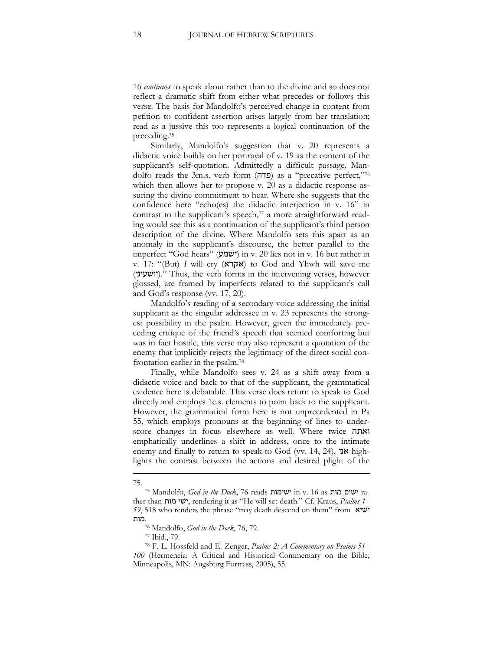16 *continues* to speak about rather than to the divine and so does not reflect a dramatic shift from either what precedes or follows this verse. The basis for Mandolfo's perceived change in content from petition to confident assertion arises largely from her translation; read as a jussive this too represents a logical continuation of the preceding.<sup>75</sup>

Similarly, Mandolfo's suggestion that v. 20 represents a didactic voice builds on her portrayal of v. 19 as the content of the supplicant's self-quotation. Admittedly a difficult passage, Mandolfo reads the 3m.s. verb form (פדה) as a "precative perfect,"76 which then allows her to propose v. 20 as a didactic response assuring the divine commitment to hear. Where she suggests that the confidence here "echo(es) the didactic interjection in v. 16" in contrast to the supplicant's speech, $77$  a more straightforward reading would see this as a continuation of the supplicant's third person description of the divine. Where Mandolfo sets this apart as an anomaly in the supplicant's discourse, the better parallel to the imperfect "God hears" (ישׁמע (in v. 20 lies not in v. 16 but rather in v. 17: "(But) *I* will cry (אקרא) to God and Yhwh will save me (יושׁעיני(. "Thus, the verb forms in the intervening verses, however glossed, are framed by imperfects related to the supplicant's call and God's response (vv. 17, 20).

Mandolfo's reading of a secondary voice addressing the initial supplicant as the singular addressee in v. 23 represents the strongest possibility in the psalm. However, given the immediately preceding critique of the friend's speech that seemed comforting but was in fact hostile, this verse may also represent a quotation of the enemy that implicitly rejects the legitimacy of the direct social confrontation earlier in the psalm.<sup>78</sup>

Finally, while Mandolfo sees v. 24 as a shift away from a didactic voice and back to that of the supplicant, the grammatical evidence here is debatable. This verse does return to speak to God directly and employs 1c.s. elements to point back to the supplicant. However, the grammatical form here is not unprecedented in Ps 55, which employs pronouns at the beginning of lines to underscore changes in focus elsewhere as well. Where twice ואתה emphatically underlines a shift in address, once to the intimate enemy and finally to return to speak to God (vv. 14, 24), אני highlights the contrast between the actions and desired plight of the

**<sup>.</sup>** 75.

<sup>75</sup> Mandolfo, *God in the Dock*, 76 reads ישׁימות in v. 16 as מות ישׁים rather than מות ישׁי, rendering it as "He will set death." Cf. Kraus, *Psalms 1– 59*, 518 who renders the phrase "may death descend on them" from ישׁיא .מות

<sup>76</sup> Mandolfo, *God in the Dock*, 76, 79.

<sup>77</sup> Ibid., 79.

<sup>78</sup> F.-L. Hossfeld and E. Zenger, *Psalms 2: A Commentary on Psalms 51– 100* (Hermeneia: A Critical and Historical Commentary on the Bible; Minneapolis, MN: Augsburg Fortress, 2005), 55.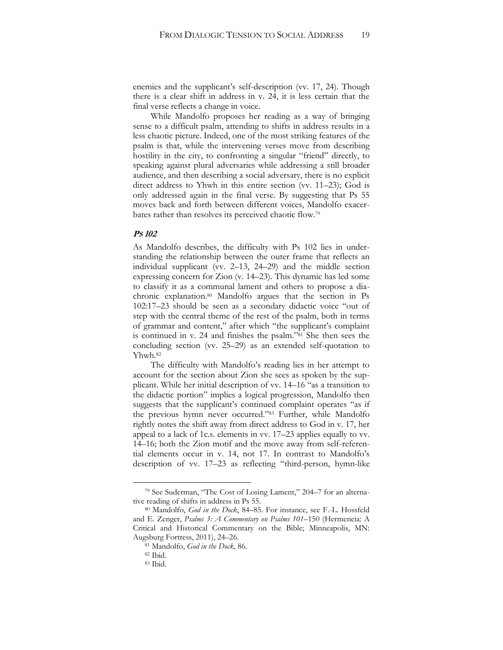enemies and the supplicant's self-description (vv. 17, 24). Though there is a clear shift in address in v. 24, it is less certain that the final verse reflects a change in voice.

While Mandolfo proposes her reading as a way of bringing sense to a difficult psalm, attending to shifts in address results in a less chaotic picture. Indeed, one of the most striking features of the psalm is that, while the intervening verses move from describing hostility in the city, to confronting a singular "friend" directly, to speaking against plural adversaries while addressing a still broader audience, and then describing a social adversary, there is no explicit direct address to Yhwh in this entire section (vv. 11–23); God is only addressed again in the final verse. By suggesting that Ps 55 moves back and forth between different voices, Mandolfo exacerbates rather than resolves its perceived chaotic flow.<sup>79</sup>

#### **PS 102**

As Mandolfo describes, the difficulty with Ps 102 lies in understanding the relationship between the outer frame that reflects an individual supplicant (vv. 2–13, 24–29) and the middle section expressing concern for Zion (v. 14–23). This dynamic has led some to classify it as a communal lament and others to propose a diachronic explanation.<sup>80</sup> Mandolfo argues that the section in Ps 102:17–23 should be seen as a secondary didactic voice "out of step with the central theme of the rest of the psalm, both in terms of grammar and content," after which "the supplicant's complaint is continued in v. 24 and finishes the psalm."<sup>81</sup> She then sees the concluding section (vv. 25–29) as an extended self-quotation to Yhwh.<sup>82</sup>

The difficulty with Mandolfo's reading lies in her attempt to account for the section about Zion she sees as spoken by the supplicant. While her initial description of vv. 14–16 "as a transition to the didactic portion" implies a logical progression, Mandolfo then suggests that the supplicant's continued complaint operates "as if the previous hymn never occurred."<sup>83</sup> Further, while Mandolfo rightly notes the shift away from direct address to God in v. 17, her appeal to a lack of 1c.s. elements in vv. 17–23 applies equally to vv. 14–16; both the Zion motif and the move away from self-referential elements occur in v. 14, not 17. In contrast to Mandolfo's description of vv. 17–23 as reflecting "third-person, hymn-like

<sup>79</sup> See Suderman, "The Cost of Losing Lament," 204–7 for an alternative reading of shifts in address in Ps 55.

<sup>80</sup> Mandolfo, *God in the Dock*, 84–85. For instance, see F.-L. Hossfeld and E. Zenger, *Psalms 3: A Commentary on Psalms 101–*150 (Hermeneia: A Critical and Historical Commentary on the Bible; Minneapolis, MN: Augsburg Fortress, 2011), 24–26.

<sup>81</sup> Mandolfo, *God in the Dock*, 86.

<sup>82</sup> Ibid.

<sup>83</sup> Ibid.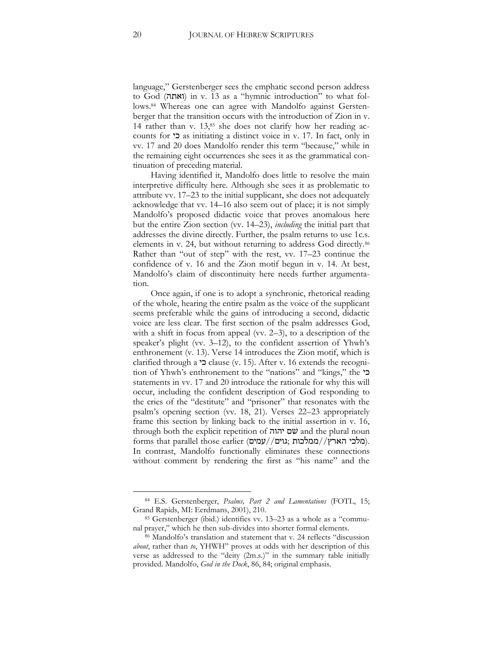language," Gerstenberger sees the emphatic second person address to God (ואתה) in v. 13 as a "hymnic introduction" to what follows.<sup>84</sup> Whereas one can agree with Mandolfo against Gerstenberger that the transition occurs with the introduction of Zion in v. 14 rather than v.  $13,$ <sup>85</sup> she does not clarify how her reading accounts for כי as initiating a distinct voice in v. 17. In fact, only in vv. 17 and 20 does Mandolfo render this term "because," while in the remaining eight occurrences she sees it as the grammatical continuation of preceding material.

Having identified it, Mandolfo does little to resolve the main interpretive difficulty here. Although she sees it as problematic to attribute vv. 17–23 to the initial supplicant, she does not adequately acknowledge that vv. 14–16 also seem out of place; it is not simply Mandolfo's proposed didactic voice that proves anomalous here but the entire Zion section (vv. 14–23), *including* the initial part that addresses the divine directly. Further, the psalm returns to use 1c.s. elements in v. 24, but without returning to address God directly.<sup>86</sup> Rather than "out of step" with the rest, vv. 17–23 continue the confidence of v. 16 and the Zion motif begun in v. 14. At best, Mandolfo's claim of discontinuity here needs further argumentation.

Once again, if one is to adopt a synchronic, rhetorical reading of the whole, hearing the entire psalm as the voice of the supplicant seems preferable while the gains of introducing a second, didactic voice are less clear. The first section of the psalm addresses God, with a shift in focus from appeal (vv. 2–3), to a description of the speaker's plight (vv. 3–12), to the confident assertion of Yhwh's enthronement (v. 13). Verse 14 introduces the Zion motif, which is clarified through a כי clause (v. 15). After v. 16 extends the recognition of Yhwh's enthronement to the "nations" and "kings," the כי statements in vv. 17 and 20 introduce the rationale for why this will occur, including the confident description of God responding to the cries of the "destitute" and "prisoner" that resonates with the psalm's opening section (vv. 18, 21). Verses 22–23 appropriately frame this section by linking back to the initial assertion in v. 16, through both the explicit repetition of יהוה שׁם and the plural noun forms that parallel those earlier (מלכי הארץ//ממלכות). In contrast, Mandolfo functionally eliminates these connections without comment by rendering the first as "his name" and the

<sup>84</sup> E.S. Gerstenberger, *Psalms, Part 2 and Lamentations* (FOTL, 15; Grand Rapids, MI: Eerdmans, 2001), 210.

<sup>85</sup> Gerstenberger (ibid.) identifies vv. 13–23 as a whole as a "communal prayer," which he then sub-divides into shorter formal elements.

<sup>86</sup> Mandolfo's translation and statement that v. 24 reflects "discussion *about*, rather than *to*, YHWH" proves at odds with her description of this verse as addressed to the "deity (2m.s.)" in the summary table initially provided. Mandolfo, *God in the Dock*, 86, 84; original emphasis.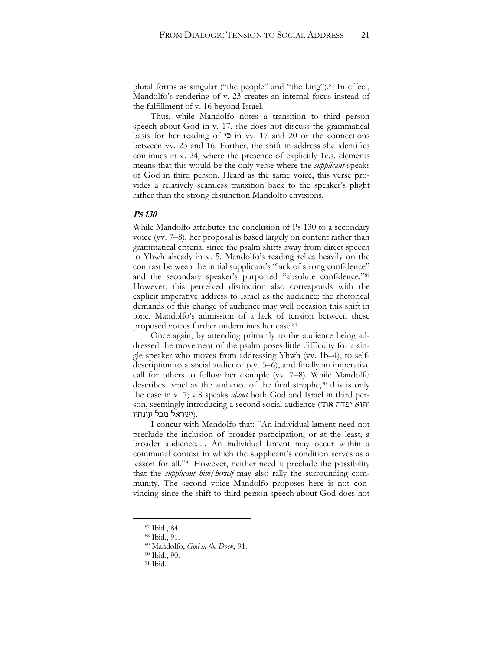plural forms as singular ("the people" and "the king").<sup>87</sup> In effect, Mandolfo's rendering of v. 23 creates an internal focus instead of the fulfillment of v. 16 beyond Israel.

Thus, while Mandolfo notes a transition to third person speech about God in v. 17, she does not discuss the grammatical basis for her reading of כי in vv. 17 and 20 or the connections between vv. 23 and 16. Further, the shift in address she identifies continues in v. 24, where the presence of explicitly 1c.s. elements means that this would be the only verse where the *supplicant* speaks of God in third person. Heard as the same voice, this verse provides a relatively seamless transition back to the speaker's plight rather than the strong disjunction Mandolfo envisions.

#### **PS 130**

While Mandolfo attributes the conclusion of Ps 130 to a secondary voice (vv. 7–8), her proposal is based largely on content rather than grammatical criteria, since the psalm shifts away from direct speech to Yhwh already in v. 5. Mandolfo's reading relies heavily on the contrast between the initial supplicant's "lack of strong confidence" and the secondary speaker's purported "absolute confidence."<sup>88</sup> However, this perceived distinction also corresponds with the explicit imperative address to Israel as the audience; the rhetorical demands of this change of audience may well occasion this shift in tone. Mandolfo's admission of a lack of tension between these proposed voices further undermines her case.<sup>89</sup>

Once again, by attending primarily to the audience being addressed the movement of the psalm poses little difficulty for a single speaker who moves from addressing Yhwh (vv. 1b–4), to selfdescription to a social audience (vv. 5–6), and finally an imperative call for others to follow her example (vv. 7–8). While Mandolfo describes Israel as the audience of the final strophe,<sup>90</sup> this is only the case in v. 7; v.8 speaks *about* both God and Israel in third person, seemingly introducing a second social audience (והוא יפדה את־ .(ישׂראל מכל עונתיו

I concur with Mandolfo that: "An individual lament need not preclude the inclusion of broader participation, or at the least, a broader audience. . . An individual lament may occur within a communal context in which the supplicant's condition serves as a lesson for all."<sup>91</sup> However, neither need it preclude the possibility that the *supplicant him/herself* may also rally the surrounding community. The second voice Mandolfo proposes here is not convincing since the shift to third person speech about God does not

<sup>87</sup> Ibid., 84.

<sup>88</sup> Ibid., 91.

<sup>89</sup> Mandolfo, *God in the Dock*, 91.

<sup>90</sup> Ibid., 90.

<sup>&</sup>lt;sup>91</sup> Ibid.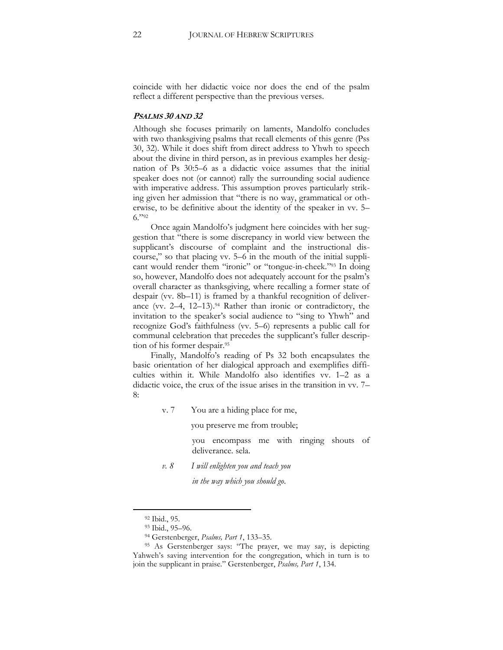coincide with her didactic voice nor does the end of the psalm reflect a different perspective than the previous verses.

#### **PSALMS 30 AND 32**

Although she focuses primarily on laments, Mandolfo concludes with two thanksgiving psalms that recall elements of this genre (Pss 30, 32). While it does shift from direct address to Yhwh to speech about the divine in third person, as in previous examples her designation of Ps 30:5–6 as a didactic voice assumes that the initial speaker does not (or cannot) rally the surrounding social audience with imperative address. This assumption proves particularly striking given her admission that "there is no way, grammatical or otherwise, to be definitive about the identity of the speaker in vv. 5– 6."<sup>92</sup>

Once again Mandolfo's judgment here coincides with her suggestion that "there is some discrepancy in world view between the supplicant's discourse of complaint and the instructional discourse," so that placing vv. 5–6 in the mouth of the initial supplicant would render them "ironic" or "tongue-in-cheek."<sup>93</sup> In doing so, however, Mandolfo does not adequately account for the psalm's overall character as thanksgiving, where recalling a former state of despair (vv. 8b–11) is framed by a thankful recognition of deliverance (vv. 2-4, 12-13).<sup>94</sup> Rather than ironic or contradictory, the invitation to the speaker's social audience to "sing to Yhwh" and recognize God's faithfulness (vv. 5–6) represents a public call for communal celebration that precedes the supplicant's fuller description of his former despair.<sup>95</sup>

Finally, Mandolfo's reading of Ps 32 both encapsulates the basic orientation of her dialogical approach and exemplifies difficulties within it. While Mandolfo also identifies vv. 1–2 as a didactic voice, the crux of the issue arises in the transition in vv. 7– 8:

v. 7 You are a hiding place for me,

you preserve me from trouble;

you encompass me with ringing shouts of deliverance. sela.

*v. 8 I will enlighten you and teach you*

*in the way which you should go*.

<sup>92</sup> Ibid., 95.

<sup>93</sup> Ibid., 95–96.

<sup>94</sup> Gerstenberger, *Psalms, Part 1*, 133–35.

<sup>95</sup> As Gerstenberger says: "The prayer, we may say, is depicting Yahweh's saving intervention for the congregation, which in turn is to join the supplicant in praise." Gerstenberger, *Psalms, Part 1*, 134.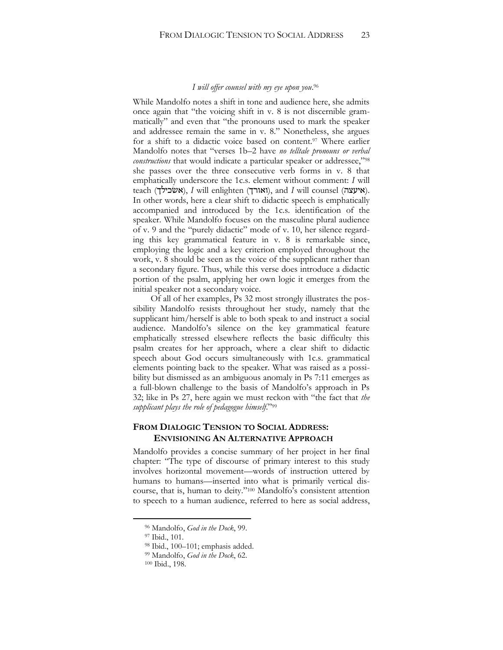#### *I will offer counsel with my eye upon you*. 96

While Mandolfo notes a shift in tone and audience here, she admits once again that "the voicing shift in v. 8 is not discernible grammatically" and even that "the pronouns used to mark the speaker and addressee remain the same in v. 8." Nonetheless, she argues for a shift to a didactic voice based on content.<sup>97</sup> Where earlier Mandolfo notes that "verses 1b–2 have *no telltale pronouns or verbal constructions* that would indicate a particular speaker or addressee,"<sup>98</sup> she passes over the three consecutive verb forms in v. 8 that emphatically underscore the 1c.s. element without comment: *I* will teach (אשׂכילך), *I* will enlighten (ואורך), and *I* will counsel (איעצה). In other words, here a clear shift to didactic speech is emphatically accompanied and introduced by the 1c.s. identification of the speaker. While Mandolfo focuses on the masculine plural audience of v. 9 and the "purely didactic" mode of v. 10, her silence regarding this key grammatical feature in v. 8 is remarkable since, employing the logic and a key criterion employed throughout the work, v. 8 should be seen as the voice of the supplicant rather than a secondary figure. Thus, while this verse does introduce a didactic portion of the psalm, applying her own logic it emerges from the initial speaker not a secondary voice.

Of all of her examples, Ps 32 most strongly illustrates the possibility Mandolfo resists throughout her study, namely that the supplicant him/herself is able to both speak to and instruct a social audience. Mandolfo's silence on the key grammatical feature emphatically stressed elsewhere reflects the basic difficulty this psalm creates for her approach, where a clear shift to didactic speech about God occurs simultaneously with 1c.s. grammatical elements pointing back to the speaker. What was raised as a possibility but dismissed as an ambiguous anomaly in Ps 7:11 emerges as a full-blown challenge to the basis of Mandolfo's approach in Ps 32; like in Ps 27, here again we must reckon with "the fact that *the supplicant plays the role of pedagogue himself*."<sup>99</sup>

#### **FROM DIALOGIC TENSION TO SOCIAL ADDRESS: ENVISIONING AN ALTERNATIVE APPROACH**

Mandolfo provides a concise summary of her project in her final chapter: "The type of discourse of primary interest to this study involves horizontal movement—words of instruction uttered by humans to humans—inserted into what is primarily vertical discourse, that is, human to deity."<sup>100</sup> Mandolfo's consistent attention to speech to a human audience, referred to here as social address,

<sup>96</sup> Mandolfo, *God in the Dock*, 99.

<sup>97</sup> Ibid., 101.

<sup>98</sup> Ibid., 100–101; emphasis added.

<sup>99</sup> Mandolfo, *God in the Dock*, 62.

<sup>100</sup> Ibid., 198.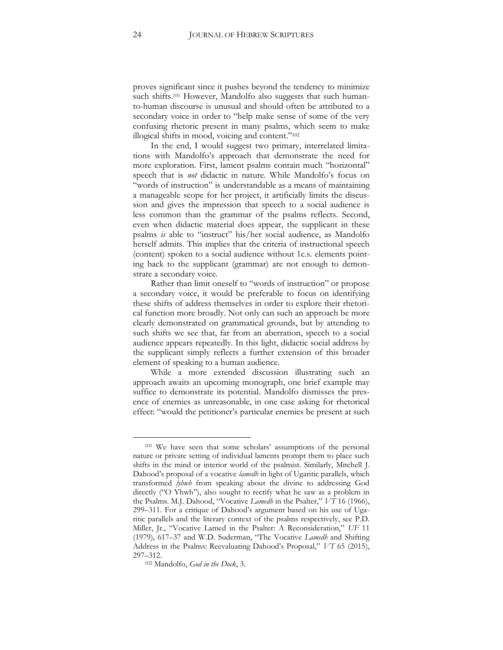proves significant since it pushes beyond the tendency to minimize such shifts.<sup>101</sup> However, Mandolfo also suggests that such humanto-human discourse is unusual and should often be attributed to a secondary voice in order to "help make sense of some of the very confusing rhetoric present in many psalms, which seem to make illogical shifts in mood, voicing and content."<sup>102</sup>

In the end, I would suggest two primary, interrelated limitations with Mandolfo's approach that demonstrate the need for more exploration. First, lament psalms contain much "horizontal" speech that is *not* didactic in nature. While Mandolfo's focus on "words of instruction" is understandable as a means of maintaining a manageable scope for her project, it artificially limits the discussion and gives the impression that speech to a social audience is less common than the grammar of the psalms reflects. Second, even when didactic material does appear, the supplicant in these psalms *is* able to "instruct" his/her social audience, as Mandolfo herself admits. This implies that the criteria of instructional speech (content) spoken to a social audience without 1c.s. elements pointing back to the supplicant (grammar) are not enough to demonstrate a secondary voice.

Rather than limit oneself to "words of instruction" or propose a secondary voice, it would be preferable to focus on identifying these shifts of address themselves in order to explore their rhetorical function more broadly. Not only can such an approach be more clearly demonstrated on grammatical grounds, but by attending to such shifts we see that, far from an aberration, speech to a social audience appears repeatedly. In this light, didactic social address by the supplicant simply reflects a further extension of this broader element of speaking to a human audience.

While a more extended discussion illustrating such an approach awaits an upcoming monograph, one brief example may suffice to demonstrate its potential. Mandolfo dismisses the presence of enemies as unreasonable, in one case asking for rhetorical effect: "would the petitioner's particular enemies be present at such

<sup>101</sup> We have seen that some scholars' assumptions of the personal nature or private setting of individual laments prompt them to place such shifts in the mind or interior world of the psalmist. Similarly, Mitchell J. Dahood's proposal of a vocative *lamedh* in light of Ugaritic parallels, which transformed *lyhwh* from speaking about the divine to addressing God directly ("O Yhwh"), also sought to rectify what he saw as a problem in the Psalms. M.J. Dahood, "Vocative *Lamedh* in the Psalter," *VT* 16 (1966), 299–311. For a critique of Dahood's argument based on his use of Ugaritic parallels and the literary context of the psalms respectively, see P.D. Miller, Jr., "Vocative Lamed in the Psalter: A Reconsideration," *UF* 11 (1979), 617–37 and W.D. Suderman, "The Vocative *Lamedh* and Shifting Address in the Psalms: Reevaluating Dahood's Proposal," *VT* 65 (2015), 297–312.

<sup>102</sup> Mandolfo, *God in the Dock*, 3.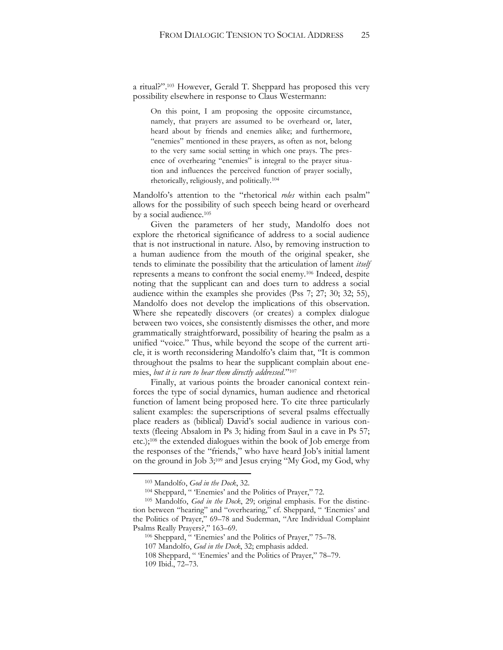a ritual?". <sup>103</sup> However, Gerald T. Sheppard has proposed this very possibility elsewhere in response to Claus Westermann:

On this point, I am proposing the opposite circumstance, namely, that prayers are assumed to be overheard or, later, heard about by friends and enemies alike; and furthermore, "enemies" mentioned in these prayers, as often as not, belong to the very same social setting in which one prays. The presence of overhearing "enemies" is integral to the prayer situation and influences the perceived function of prayer socially, rhetorically, religiously, and politically.<sup>104</sup>

Mandolfo's attention to the "rhetorical *roles* within each psalm" allows for the possibility of such speech being heard or overheard by a social audience.<sup>105</sup>

Given the parameters of her study, Mandolfo does not explore the rhetorical significance of address to a social audience that is not instructional in nature. Also, by removing instruction to a human audience from the mouth of the original speaker, she tends to eliminate the possibility that the articulation of lament *itself*  represents a means to confront the social enemy.<sup>106</sup> Indeed, despite noting that the supplicant can and does turn to address a social audience within the examples she provides (Pss 7; 27; 30; 32; 55), Mandolfo does not develop the implications of this observation. Where she repeatedly discovers (or creates) a complex dialogue between two voices, she consistently dismisses the other, and more grammatically straightforward, possibility of hearing the psalm as a unified "voice." Thus, while beyond the scope of the current article, it is worth reconsidering Mandolfo's claim that, "It is common throughout the psalms to hear the supplicant complain about enemies, *but it is rare to hear them directly addressed*."<sup>107</sup>

Finally, at various points the broader canonical context reinforces the type of social dynamics, human audience and rhetorical function of lament being proposed here. To cite three particularly salient examples: the superscriptions of several psalms effectually place readers as (biblical) David's social audience in various contexts (fleeing Absalom in Ps 3; hiding from Saul in a cave in Ps 57; etc.);<sup>108</sup> the extended dialogues within the book of Job emerge from the responses of the "friends," who have heard Job's initial lament on the ground in Job 3;<sup>109</sup> and Jesus crying "My God, my God, why

<sup>103</sup> Mandolfo, *God in the Dock*, 32.

<sup>104</sup> Sheppard, " 'Enemies' and the Politics of Prayer," 72.

<sup>105</sup> Mandolfo, *God in the Dock*, 29; original emphasis. For the distinction between "hearing" and "overhearing," cf. Sheppard, " 'Enemies' and the Politics of Prayer," 69–78 and Suderman, "Are Individual Complaint Psalms Really Prayers?," 163–69.

<sup>106</sup> Sheppard, " 'Enemies' and the Politics of Prayer," 75–78.

<sup>107</sup> Mandolfo, *God in the Dock*, 32; emphasis added.

<sup>108</sup> Sheppard, " 'Enemies' and the Politics of Prayer," 78–79.

<sup>109</sup> Ibid., 72–73.